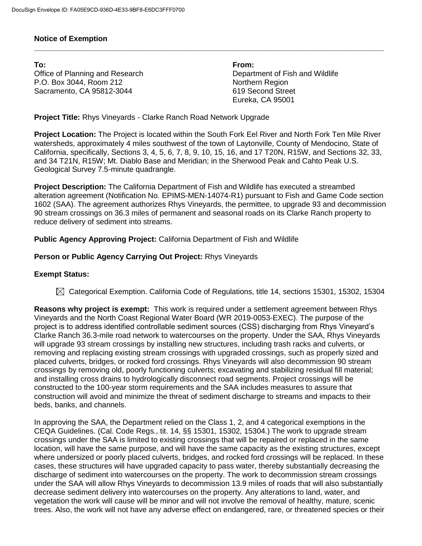## **Notice of Exemption**

**To: From:** Office of Planning and Research **Department of Fish and Wildlife** P.O. Box 3044, Room 212 Northern Region Sacramento, CA 95812-3044 619 Second Street

Eureka, CA 95001

**Project Title:** Rhys Vineyards - Clarke Ranch Road Network Upgrade

**Project Location:** The Project is located within the South Fork Eel River and North Fork Ten Mile River watersheds, approximately 4 miles southwest of the town of Laytonville, County of Mendocino, State of California, specifically, Sections 3, 4, 5, 6, 7, 8, 9, 10, 15, 16, and 17 T20N, R15W, and Sections 32, 33, and 34 T21N, R15W; Mt. Diablo Base and Meridian; in the Sherwood Peak and Cahto Peak U.S. Geological Survey 7.5-minute quadrangle.

**\_\_\_\_\_\_\_\_\_\_\_\_\_\_\_\_\_\_\_\_\_\_\_\_\_\_\_\_\_\_\_\_\_\_\_\_\_\_\_\_\_\_\_\_\_\_\_\_\_\_\_\_\_\_\_\_\_\_\_\_\_\_\_\_\_\_\_\_\_\_\_\_\_\_\_\_\_\_\_\_\_\_\_**

**Project Description:** The California Department of Fish and Wildlife has executed a streambed alteration agreement (Notification No. EPIMS-MEN-14074-R1) pursuant to Fish and Game Code section 1602 (SAA). The agreement authorizes Rhys Vineyards, the permittee, to upgrade 93 and decommission 90 stream crossings on 36.3 miles of permanent and seasonal roads on its Clarke Ranch property to reduce delivery of sediment into streams.

**Public Agency Approving Project:** California Department of Fish and Wildlife

## **Person or Public Agency Carrying Out Project:** Rhys Vineyards

## **Exempt Status:**

 $\boxtimes$  Categorical Exemption. California Code of Regulations, title 14, sections 15301, 15302, 15304

**Reasons why project is exempt:** This work is required under a settlement agreement between Rhys Vineyards and the North Coast Regional Water Board (WR 2019-0053-EXEC). The purpose of the project is to address identified controllable sediment sources (CSS) discharging from Rhys Vineyard's Clarke Ranch 36.3-mile road network to watercourses on the property. Under the SAA, Rhys Vineyards will upgrade 93 stream crossings by installing new structures, including trash racks and culverts, or removing and replacing existing stream crossings with upgraded crossings, such as properly sized and placed culverts, bridges, or rocked ford crossings. Rhys Vineyards will also decommission 90 stream crossings by removing old, poorly functioning culverts; excavating and stabilizing residual fill material; and installing cross drains to hydrologically disconnect road segments. Project crossings will be constructed to the 100-year storm requirements and the SAA includes measures to assure that construction will avoid and minimize the threat of sediment discharge to streams and impacts to their beds, banks, and channels.

In approving the SAA, the Department relied on the Class 1, 2, and 4 categorical exemptions in the CEQA Guidelines. (Cal. Code Regs., tit. 14, §§ 15301, 15302, 15304.) The work to upgrade stream crossings under the SAA is limited to existing crossings that will be repaired or replaced in the same location, will have the same purpose, and will have the same capacity as the existing structures, except where undersized or poorly placed culverts, bridges, and rocked ford crossings will be replaced. In these cases, these structures will have upgraded capacity to pass water, thereby substantially decreasing the discharge of sediment into watercourses on the property. The work to decommission stream crossings under the SAA will allow Rhys Vineyards to decommission 13.9 miles of roads that will also substantially decrease sediment delivery into watercourses on the property. Any alterations to land, water, and vegetation the work will cause will be minor and will not involve the removal of healthy, mature, scenic trees. Also, the work will not have any adverse effect on endangered, rare, or threatened species or their